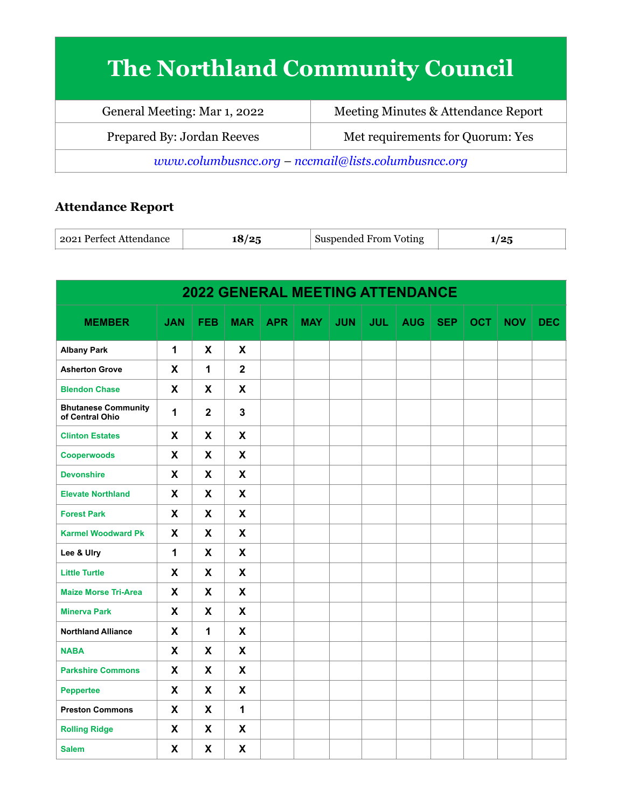## **The Northland Community Council**

| General Meeting: Mar 1, 2022                          | Meeting Minutes & Attendance Report |  |  |  |  |
|-------------------------------------------------------|-------------------------------------|--|--|--|--|
| Prepared By: Jordan Reeves                            | Met requirements for Quorum: Yes    |  |  |  |  |
| $www.columbusncc.org - nccmail@lists.columbusncc.org$ |                                     |  |  |  |  |

## **Attendance Report**

| . Perfect Attendance | $\sqrt{2}$ | Suspended From | .   |
|----------------------|------------|----------------|-----|
| 2021                 | הו         | Voting         | . . |

| <b>2022 GENERAL MEETING ATTENDANCE</b>        |              |                           |                |            |     |            |            |            |            |            |            |            |
|-----------------------------------------------|--------------|---------------------------|----------------|------------|-----|------------|------------|------------|------------|------------|------------|------------|
| <b>MEMBER</b>                                 | <b>JAN</b>   | <b>FEB</b>                | <b>MAR</b>     | <b>APR</b> | MAY | <b>JUN</b> | <b>JUL</b> | <b>AUG</b> | <b>SEP</b> | <b>OCT</b> | <b>NOV</b> | <b>DEC</b> |
| <b>Albany Park</b>                            | $\mathbf{1}$ | X                         | X              |            |     |            |            |            |            |            |            |            |
| <b>Asherton Grove</b>                         | X            | $\mathbf{1}$              | $\overline{2}$ |            |     |            |            |            |            |            |            |            |
| <b>Blendon Chase</b>                          | X            | X                         | X              |            |     |            |            |            |            |            |            |            |
| <b>Bhutanese Community</b><br>of Central Ohio | 1            | $\overline{2}$            | $\mathbf{3}$   |            |     |            |            |            |            |            |            |            |
| <b>Clinton Estates</b>                        | X            | X                         | X              |            |     |            |            |            |            |            |            |            |
| <b>Cooperwoods</b>                            | X            | X                         | X              |            |     |            |            |            |            |            |            |            |
| <b>Devonshire</b>                             | X            | X                         | X              |            |     |            |            |            |            |            |            |            |
| <b>Elevate Northland</b>                      | X            | X                         | X              |            |     |            |            |            |            |            |            |            |
| <b>Forest Park</b>                            | X            | X                         | X              |            |     |            |            |            |            |            |            |            |
| <b>Karmel Woodward Pk</b>                     | X            | X                         | X              |            |     |            |            |            |            |            |            |            |
| Lee & Ulry                                    | $\mathbf{1}$ | X                         | X              |            |     |            |            |            |            |            |            |            |
| <b>Little Turtle</b>                          | X            | X                         | X              |            |     |            |            |            |            |            |            |            |
| <b>Maize Morse Tri-Area</b>                   | X            | X                         | X              |            |     |            |            |            |            |            |            |            |
| <b>Minerva Park</b>                           | X            | X                         | X              |            |     |            |            |            |            |            |            |            |
| <b>Northland Alliance</b>                     | X            | 1                         | X              |            |     |            |            |            |            |            |            |            |
| <b>NABA</b>                                   | $\mathsf{x}$ | X                         | $\mathbf{x}$   |            |     |            |            |            |            |            |            |            |
| <b>Parkshire Commons</b>                      | X            | X                         | X              |            |     |            |            |            |            |            |            |            |
| <b>Peppertee</b>                              | $\mathsf{x}$ | X                         | X              |            |     |            |            |            |            |            |            |            |
| <b>Preston Commons</b>                        | X            | $\boldsymbol{\mathsf{X}}$ | 1              |            |     |            |            |            |            |            |            |            |
| <b>Rolling Ridge</b>                          | X            | X                         | X              |            |     |            |            |            |            |            |            |            |
| <b>Salem</b>                                  | X            | X                         | X              |            |     |            |            |            |            |            |            |            |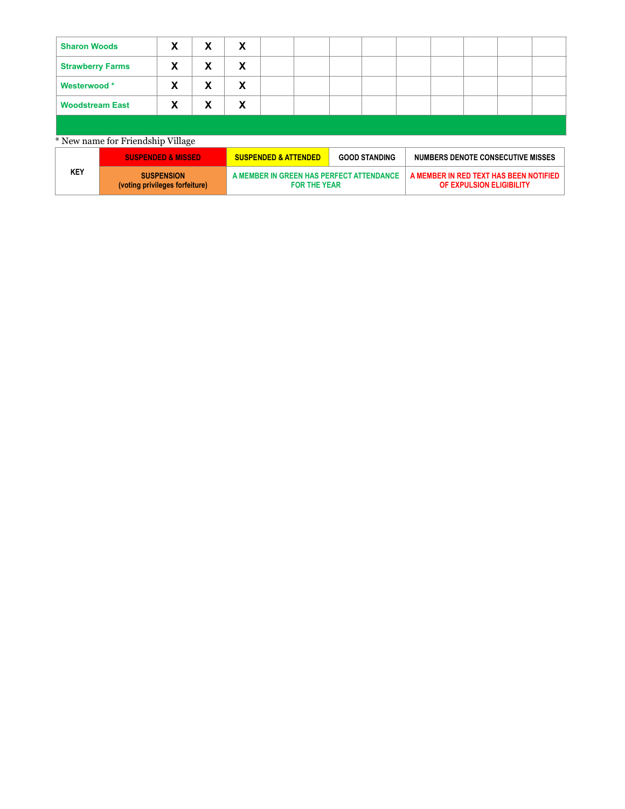| <b>Sharon Woods</b>               | X | X | X |  |  |  |  |  |  |  |
|-----------------------------------|---|---|---|--|--|--|--|--|--|--|
| <b>Strawberry Farms</b>           | X | X | X |  |  |  |  |  |  |  |
| Westerwood*                       | X | X | X |  |  |  |  |  |  |  |
| <b>Woodstream East</b>            | X | X | X |  |  |  |  |  |  |  |
|                                   |   |   |   |  |  |  |  |  |  |  |
| * New name for Friendship Village |   |   |   |  |  |  |  |  |  |  |

|     | <b>SUSPENDED &amp; MISSED</b>                       | <b>SUSPENDED &amp; ATTENDED</b>                                 | <b>GOOD STANDING</b> | NUMBERS DENOTE CONSECUTIVE MISSES                                  |
|-----|-----------------------------------------------------|-----------------------------------------------------------------|----------------------|--------------------------------------------------------------------|
| KEY | <b>SUSPENSION</b><br>(voting privileges forfeiture) | A MEMBER IN GREEN HAS PERFECT ATTENDANCE<br><b>FOR THE YEAR</b> |                      | A MEMBER IN RED TEXT HAS BEEN NOTIFIED<br>OF EXPULSION ELIGIBILITY |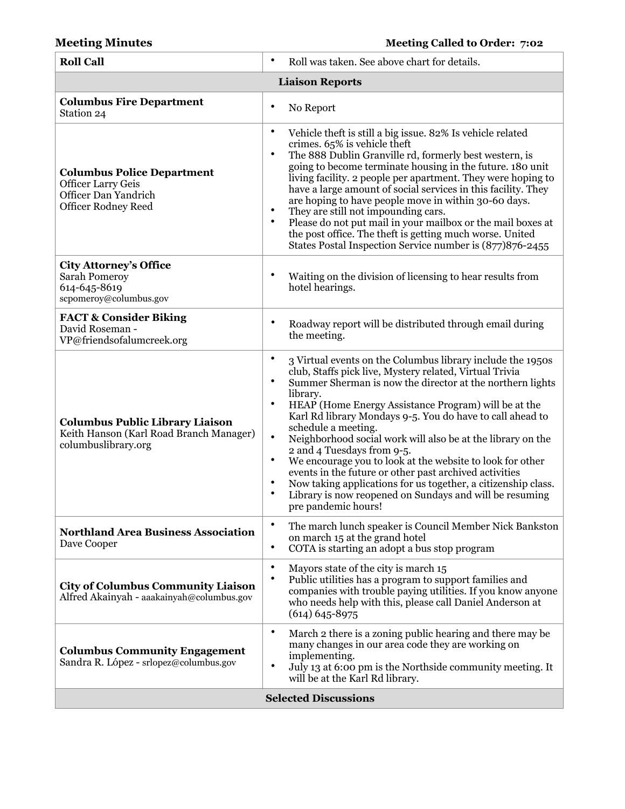| <b>Roll Call</b>                                                                                                     | $\bullet$<br>Roll was taken. See above chart for details.                                                                                                                                                                                                                                                                                                                                                                                                                                                                                                                                                                                                                                                                                                                                                    |
|----------------------------------------------------------------------------------------------------------------------|--------------------------------------------------------------------------------------------------------------------------------------------------------------------------------------------------------------------------------------------------------------------------------------------------------------------------------------------------------------------------------------------------------------------------------------------------------------------------------------------------------------------------------------------------------------------------------------------------------------------------------------------------------------------------------------------------------------------------------------------------------------------------------------------------------------|
|                                                                                                                      | <b>Liaison Reports</b>                                                                                                                                                                                                                                                                                                                                                                                                                                                                                                                                                                                                                                                                                                                                                                                       |
| <b>Columbus Fire Department</b><br>Station 24                                                                        | $\bullet$<br>No Report                                                                                                                                                                                                                                                                                                                                                                                                                                                                                                                                                                                                                                                                                                                                                                                       |
| <b>Columbus Police Department</b><br><b>Officer Larry Geis</b><br>Officer Dan Yandrich<br><b>Officer Rodney Reed</b> | ٠<br>Vehicle theft is still a big issue. 82% Is vehicle related<br>crimes. 65% is vehicle theft<br>$\bullet$<br>The 888 Dublin Granville rd, formerly best western, is<br>going to become terminate housing in the future. 180 unit<br>living facility. 2 people per apartment. They were hoping to<br>have a large amount of social services in this facility. They<br>are hoping to have people move in within 30-60 days.<br>٠<br>They are still not impounding cars.<br>$\bullet$<br>Please do not put mail in your mailbox or the mail boxes at<br>the post office. The theft is getting much worse. United<br>States Postal Inspection Service number is (877)876-2455                                                                                                                                 |
| <b>City Attorney's Office</b><br><b>Sarah Pomeroy</b><br>614-645-8619<br>scpomeroy@columbus.gov                      | Waiting on the division of licensing to hear results from<br>hotel hearings.                                                                                                                                                                                                                                                                                                                                                                                                                                                                                                                                                                                                                                                                                                                                 |
| <b>FACT &amp; Consider Biking</b><br>David Roseman -<br>VP@friendsofalumcreek.org                                    | $\bullet$<br>Roadway report will be distributed through email during<br>the meeting.                                                                                                                                                                                                                                                                                                                                                                                                                                                                                                                                                                                                                                                                                                                         |
| <b>Columbus Public Library Liaison</b><br>Keith Hanson (Karl Road Branch Manager)<br>columbuslibrary.org             | $\bullet$<br>3 Virtual events on the Columbus library include the 1950s<br>club, Staffs pick live, Mystery related, Virtual Trivia<br>Summer Sherman is now the director at the northern lights<br>$\bullet$<br>library.<br>$\bullet$<br>HEAP (Home Energy Assistance Program) will be at the<br>Karl Rd library Mondays 9-5. You do have to call ahead to<br>schedule a meeting.<br>$\bullet$<br>Neighborhood social work will also be at the library on the<br>2 and 4 Tuesdays from 9-5.<br>$\bullet$<br>We encourage you to look at the website to look for other<br>events in the future or other past archived activities<br>Now taking applications for us together, a citizenship class.<br>$\bullet$<br>$\bullet$<br>Library is now reopened on Sundays and will be resuming<br>pre pandemic hours! |
| <b>Northland Area Business Association</b><br>Dave Cooper                                                            | $\bullet$<br>The march lunch speaker is Council Member Nick Bankston<br>on march 15 at the grand hotel<br>$\bullet$<br>COTA is starting an adopt a bus stop program                                                                                                                                                                                                                                                                                                                                                                                                                                                                                                                                                                                                                                          |
| <b>City of Columbus Community Liaison</b><br>Alfred Akainyah - aaakainyah@columbus.gov                               | $\bullet$<br>Mayors state of the city is march 15<br>$\bullet$<br>Public utilities has a program to support families and<br>companies with trouble paying utilities. If you know anyone<br>who needs help with this, please call Daniel Anderson at<br>$(614)$ 645-8975                                                                                                                                                                                                                                                                                                                                                                                                                                                                                                                                      |
| <b>Columbus Community Engagement</b><br>Sandra R. López - srlopez@columbus.gov                                       | $\bullet$<br>March 2 there is a zoning public hearing and there may be<br>many changes in our area code they are working on<br>implementing.<br>$\bullet$<br>July 13 at 6:00 pm is the Northside community meeting. It<br>will be at the Karl Rd library.                                                                                                                                                                                                                                                                                                                                                                                                                                                                                                                                                    |
|                                                                                                                      | <b>Selected Discussions</b>                                                                                                                                                                                                                                                                                                                                                                                                                                                                                                                                                                                                                                                                                                                                                                                  |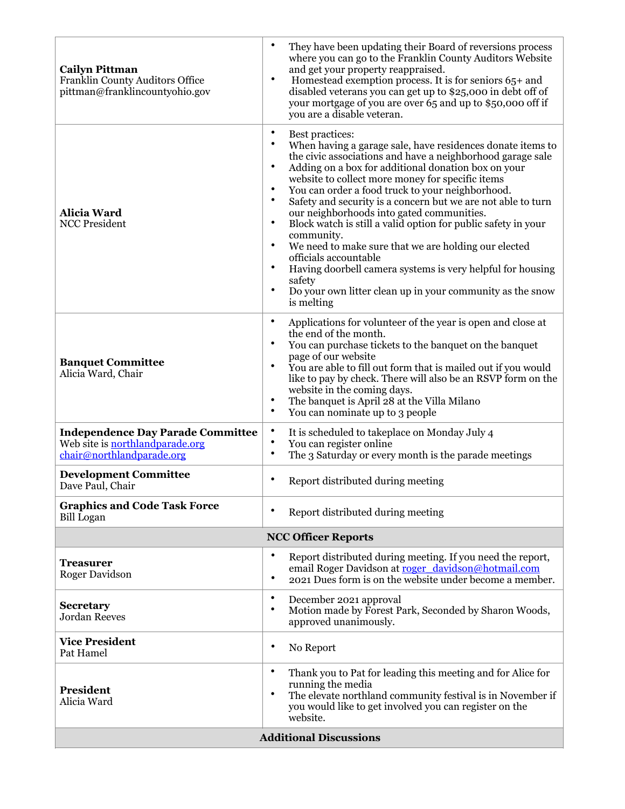| <b>Cailyn Pittman</b><br>Franklin County Auditors Office<br>pittman@franklincountyohio.gov               | $\bullet$<br>They have been updating their Board of reversions process<br>where you can go to the Franklin County Auditors Website<br>and get your property reappraised.<br>$\bullet$<br>Homestead exemption process. It is for seniors 65+ and<br>disabled veterans you can get up to \$25,000 in debt off of<br>your mortgage of you are over 65 and up to \$50,000 off if<br>you are a disable veteran.                                                                                                                                                                                                                                                                                                                                                                                                                                         |
|----------------------------------------------------------------------------------------------------------|----------------------------------------------------------------------------------------------------------------------------------------------------------------------------------------------------------------------------------------------------------------------------------------------------------------------------------------------------------------------------------------------------------------------------------------------------------------------------------------------------------------------------------------------------------------------------------------------------------------------------------------------------------------------------------------------------------------------------------------------------------------------------------------------------------------------------------------------------|
| <b>Alicia Ward</b><br><b>NCC President</b>                                                               | $\bullet$<br>Best practices:<br>When having a garage sale, have residences donate items to<br>the civic associations and have a neighborhood garage sale<br>$\bullet$<br>Adding on a box for additional donation box on your<br>website to collect more money for specific items<br>You can order a food truck to your neighborhood.<br>$\bullet$<br>$\bullet$<br>Safety and security is a concern but we are not able to turn<br>our neighborhoods into gated communities.<br>Block watch is still a valid option for public safety in your<br>$\bullet$<br>community.<br>$\bullet$<br>We need to make sure that we are holding our elected<br>officials accountable<br>$\bullet$<br>Having doorbell camera systems is very helpful for housing<br>safety<br>$\bullet$<br>Do your own litter clean up in your community as the snow<br>is melting |
| <b>Banquet Committee</b><br>Alicia Ward, Chair                                                           | $\bullet$<br>Applications for volunteer of the year is open and close at<br>the end of the month.<br>You can purchase tickets to the banquet on the banquet<br>page of our website<br>$\bullet$<br>You are able to fill out form that is mailed out if you would<br>like to pay by check. There will also be an RSVP form on the<br>website in the coming days.<br>The banquet is April 28 at the Villa Milano<br>٠<br>$\bullet$<br>You can nominate up to 3 people                                                                                                                                                                                                                                                                                                                                                                                |
| <b>Independence Day Parade Committee</b><br>Web site is northlandparade.org<br>chair@northlandparade.org | $\bullet$<br>It is scheduled to takeplace on Monday July 4<br>$\bullet$<br>You can register online<br>$\bullet$<br>The 3 Saturday or every month is the parade meetings                                                                                                                                                                                                                                                                                                                                                                                                                                                                                                                                                                                                                                                                            |
| <b>Development Committee</b><br>Dave Paul, Chair                                                         | Report distributed during meeting                                                                                                                                                                                                                                                                                                                                                                                                                                                                                                                                                                                                                                                                                                                                                                                                                  |
| <b>Graphics and Code Task Force</b><br><b>Bill Logan</b>                                                 | Report distributed during meeting                                                                                                                                                                                                                                                                                                                                                                                                                                                                                                                                                                                                                                                                                                                                                                                                                  |
|                                                                                                          | <b>NCC Officer Reports</b>                                                                                                                                                                                                                                                                                                                                                                                                                                                                                                                                                                                                                                                                                                                                                                                                                         |
| <b>Treasurer</b><br><b>Roger Davidson</b>                                                                | $\bullet$<br>Report distributed during meeting. If you need the report,<br>email Roger Davidson at roger_davidson@hotmail.com<br>2021 Dues form is on the website under become a member.<br>٠                                                                                                                                                                                                                                                                                                                                                                                                                                                                                                                                                                                                                                                      |
| <b>Secretary</b><br><b>Jordan Reeves</b>                                                                 | December 2021 approval<br>٠<br>$\bullet$<br>Motion made by Forest Park, Seconded by Sharon Woods,<br>approved unanimously.                                                                                                                                                                                                                                                                                                                                                                                                                                                                                                                                                                                                                                                                                                                         |
| <b>Vice President</b><br>Pat Hamel                                                                       | ٠<br>No Report                                                                                                                                                                                                                                                                                                                                                                                                                                                                                                                                                                                                                                                                                                                                                                                                                                     |
| <b>President</b><br>Alicia Ward                                                                          | ٠<br>Thank you to Pat for leading this meeting and for Alice for<br>running the media<br>٠<br>The elevate northland community festival is in November if<br>you would like to get involved you can register on the<br>website.                                                                                                                                                                                                                                                                                                                                                                                                                                                                                                                                                                                                                     |
|                                                                                                          | <b>Additional Discussions</b>                                                                                                                                                                                                                                                                                                                                                                                                                                                                                                                                                                                                                                                                                                                                                                                                                      |